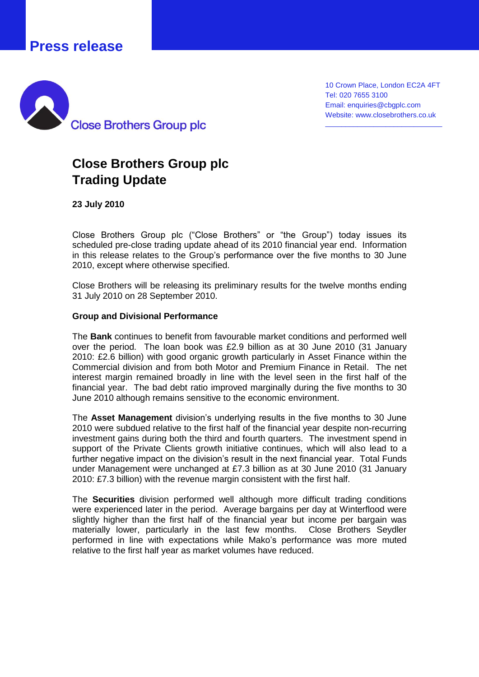## **Press release**



10 Crown Place, London EC2A 4FT Tel: 020 7655 3100 Email: enquiries@cbgplc.com Website: www.closebrothers.co.uk

\_\_\_\_\_\_\_\_\_\_\_\_\_\_\_\_\_\_\_\_\_\_\_\_\_\_\_\_\_

## **Close Brothers Group plc Trading Update**

**23 July 2010**

Close Brothers Group plc ("Close Brothers" or "the Group") today issues its scheduled pre-close trading update ahead of its 2010 financial year end. Information in this release relates to the Group's performance over the five months to 30 June 2010, except where otherwise specified.

Close Brothers will be releasing its preliminary results for the twelve months ending 31 July 2010 on 28 September 2010.

## **Group and Divisional Performance**

The **Bank** continues to benefit from favourable market conditions and performed well over the period. The loan book was £2.9 billion as at 30 June 2010 (31 January 2010: £2.6 billion) with good organic growth particularly in Asset Finance within the Commercial division and from both Motor and Premium Finance in Retail. The net interest margin remained broadly in line with the level seen in the first half of the financial year. The bad debt ratio improved marginally during the five months to 30 June 2010 although remains sensitive to the economic environment.

The **Asset Management** division's underlying results in the five months to 30 June 2010 were subdued relative to the first half of the financial year despite non-recurring investment gains during both the third and fourth quarters. The investment spend in support of the Private Clients growth initiative continues, which will also lead to a further negative impact on the division's result in the next financial year. Total Funds under Management were unchanged at £7.3 billion as at 30 June 2010 (31 January 2010: £7.3 billion) with the revenue margin consistent with the first half.

The **Securities** division performed well although more difficult trading conditions were experienced later in the period. Average bargains per day at Winterflood were slightly higher than the first half of the financial year but income per bargain was materially lower, particularly in the last few months. Close Brothers Seydler performed in line with expectations while Mako's performance was more muted relative to the first half year as market volumes have reduced.